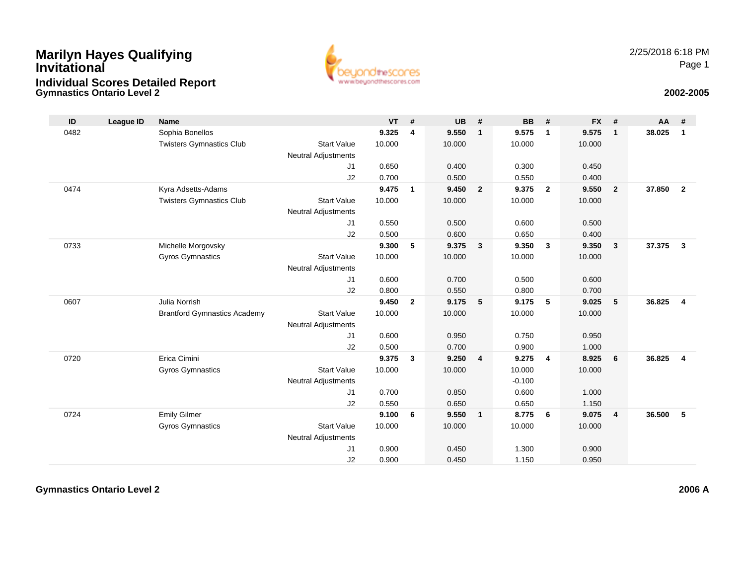## **Gymnastics Ontario Level 2Marilyn Hayes Qualifying InvitationalIndividual Scores Detailed Report**



## **2002-2005**

| ID   | League ID | <b>Name</b>                         |                            | <b>VT</b> | #              | <b>UB</b> | #                       | <b>BB</b> | #                       | <b>FX</b> | #              | AA     | #              |
|------|-----------|-------------------------------------|----------------------------|-----------|----------------|-----------|-------------------------|-----------|-------------------------|-----------|----------------|--------|----------------|
| 0482 |           | Sophia Bonellos                     |                            | 9.325     | 4              | 9.550     | $\mathbf{1}$            | 9.575     | $\overline{1}$          | 9.575     | $\mathbf{1}$   | 38.025 | $\mathbf{1}$   |
|      |           | <b>Twisters Gymnastics Club</b>     | <b>Start Value</b>         | 10.000    |                | 10.000    |                         | 10.000    |                         | 10.000    |                |        |                |
|      |           |                                     | <b>Neutral Adjustments</b> |           |                |           |                         |           |                         |           |                |        |                |
|      |           |                                     | J1                         | 0.650     |                | 0.400     |                         | 0.300     |                         | 0.450     |                |        |                |
|      |           |                                     | J2                         | 0.700     |                | 0.500     |                         | 0.550     |                         | 0.400     |                |        |                |
| 0474 |           | Kyra Adsetts-Adams                  |                            | 9.475     | $\mathbf{1}$   | 9.450     | $\overline{2}$          | 9.375     | $\overline{\mathbf{2}}$ | 9.550     | $\overline{2}$ | 37.850 | $\overline{2}$ |
|      |           | <b>Twisters Gymnastics Club</b>     | <b>Start Value</b>         | 10.000    |                | 10.000    |                         | 10.000    |                         | 10.000    |                |        |                |
|      |           |                                     | <b>Neutral Adjustments</b> |           |                |           |                         |           |                         |           |                |        |                |
|      |           |                                     | J1                         | 0.550     |                | 0.500     |                         | 0.600     |                         | 0.500     |                |        |                |
|      |           |                                     | J2                         | 0.500     |                | 0.600     |                         | 0.650     |                         | 0.400     |                |        |                |
| 0733 |           | Michelle Morgovsky                  |                            | 9.300     | 5              | 9.375     | $\mathbf{3}$            | 9.350     | $\mathbf{3}$            | 9.350     | $\overline{3}$ | 37.375 | $\mathbf{3}$   |
|      |           | <b>Gyros Gymnastics</b>             | <b>Start Value</b>         | 10.000    |                | 10.000    |                         | 10.000    |                         | 10.000    |                |        |                |
|      |           |                                     | <b>Neutral Adjustments</b> |           |                |           |                         |           |                         |           |                |        |                |
|      |           |                                     | J1                         | 0.600     |                | 0.700     |                         | 0.500     |                         | 0.600     |                |        |                |
|      |           |                                     | J2                         | 0.800     |                | 0.550     |                         | 0.800     |                         | 0.700     |                |        |                |
| 0607 |           | Julia Norrish                       |                            | 9.450     | $\overline{2}$ | 9.175     | 5                       | 9.175     | -5                      | 9.025     | 5              | 36.825 | $\overline{4}$ |
|      |           | <b>Brantford Gymnastics Academy</b> | <b>Start Value</b>         | 10.000    |                | 10.000    |                         | 10.000    |                         | 10.000    |                |        |                |
|      |           |                                     | <b>Neutral Adjustments</b> |           |                |           |                         |           |                         |           |                |        |                |
|      |           |                                     | J1                         | 0.600     |                | 0.950     |                         | 0.750     |                         | 0.950     |                |        |                |
|      |           |                                     | J2                         | 0.500     |                | 0.700     |                         | 0.900     |                         | 1.000     |                |        |                |
| 0720 |           | Erica Cimini                        |                            | 9.375     | 3              | 9.250     | $\overline{\mathbf{4}}$ | 9.275     | $\overline{4}$          | 8.925     | 6              | 36.825 | $\overline{4}$ |
|      |           | Gyros Gymnastics                    | <b>Start Value</b>         | 10.000    |                | 10.000    |                         | 10.000    |                         | 10.000    |                |        |                |
|      |           |                                     | <b>Neutral Adjustments</b> |           |                |           |                         | $-0.100$  |                         |           |                |        |                |
|      |           |                                     | J1                         | 0.700     |                | 0.850     |                         | 0.600     |                         | 1.000     |                |        |                |
|      |           |                                     | J2                         | 0.550     |                | 0.650     |                         | 0.650     |                         | 1.150     |                |        |                |
| 0724 |           | <b>Emily Gilmer</b>                 |                            | 9.100     | 6              | 9.550     | $\mathbf{1}$            | 8.775     | - 6                     | 9.075     | $\overline{4}$ | 36.500 | 5              |
|      |           | <b>Gyros Gymnastics</b>             | <b>Start Value</b>         | 10.000    |                | 10.000    |                         | 10.000    |                         | 10.000    |                |        |                |
|      |           |                                     | <b>Neutral Adjustments</b> |           |                |           |                         |           |                         |           |                |        |                |
|      |           |                                     | J1                         | 0.900     |                | 0.450     |                         | 1.300     |                         | 0.900     |                |        |                |
|      |           |                                     | J2                         | 0.900     |                | 0.450     |                         | 1.150     |                         | 0.950     |                |        |                |

**Gymnastics Ontario Level 2**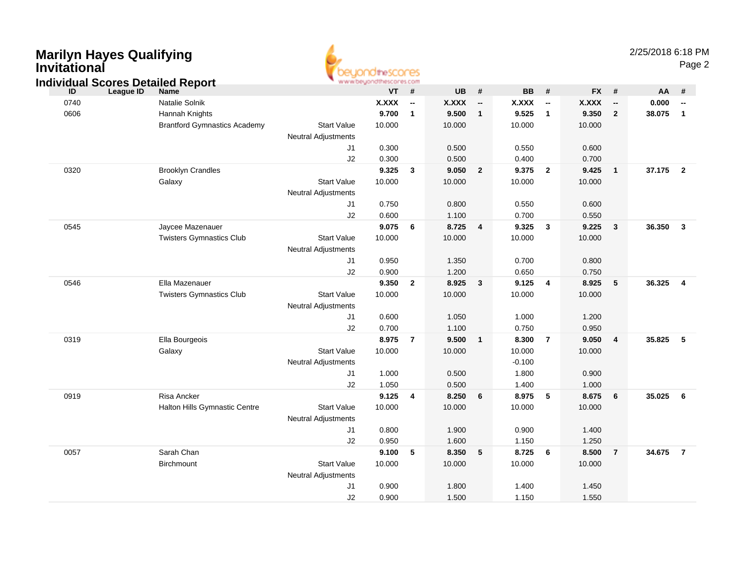| <b>Invitational</b> | Mariiyii nayes Qualiiying                |                            | <b>OtheSCOCES</b>       |                          |              |                          |           |                          |           |                          |          | Page 2                   |
|---------------------|------------------------------------------|----------------------------|-------------------------|--------------------------|--------------|--------------------------|-----------|--------------------------|-----------|--------------------------|----------|--------------------------|
|                     | <b>Individual Scores Detailed Report</b> |                            | www.beyondthescores.com |                          |              |                          |           |                          |           |                          |          |                          |
| ID                  | League ID<br><b>Name</b>                 |                            | <b>VT</b>               | #                        | <b>UB</b>    | $\pmb{\#}$               | <b>BB</b> | #                        | <b>FX</b> | #                        | AA       | #                        |
| 0740                | Natalie Solnik                           |                            | <b>X.XXX</b>            | $\overline{\phantom{a}}$ | <b>X.XXX</b> | $\overline{\phantom{a}}$ | X.XXX     | $\overline{\phantom{a}}$ | X.XXX     | $\overline{\phantom{a}}$ | 0.000    | $\overline{\phantom{a}}$ |
| 0606                | Hannah Knights                           |                            | 9.700                   | $\mathbf{1}$             | 9.500        | $\mathbf{1}$             | 9.525     | $\overline{1}$           | 9.350     | $\overline{2}$           | 38.075   | $\overline{1}$           |
|                     | <b>Brantford Gymnastics Academy</b>      | <b>Start Value</b>         | 10.000                  |                          | 10.000       |                          | 10.000    |                          | 10.000    |                          |          |                          |
|                     |                                          | <b>Neutral Adjustments</b> |                         |                          |              |                          |           |                          |           |                          |          |                          |
|                     |                                          | J1                         | 0.300                   |                          | 0.500        |                          | 0.550     |                          | 0.600     |                          |          |                          |
|                     |                                          | J2                         | 0.300                   |                          | 0.500        |                          | 0.400     |                          | 0.700     |                          |          |                          |
| 0320                | <b>Brooklyn Crandles</b>                 |                            | 9.325                   | $\mathbf{3}$             | 9.050        | $\overline{2}$           | 9.375     | $\overline{2}$           | 9.425     | $\overline{1}$           | 37.175 2 |                          |
|                     | Galaxy                                   | <b>Start Value</b>         | 10.000                  |                          | 10.000       |                          | 10.000    |                          | 10.000    |                          |          |                          |
|                     |                                          | <b>Neutral Adjustments</b> |                         |                          |              |                          |           |                          |           |                          |          |                          |
|                     |                                          | J1                         | 0.750                   |                          | 0.800        |                          | 0.550     |                          | 0.600     |                          |          |                          |
|                     |                                          | J2                         | 0.600                   |                          | 1.100        |                          | 0.700     |                          | 0.550     |                          |          |                          |
| 0545                | Jaycee Mazenauer                         |                            | 9.075                   | 6                        | 8.725        | $\overline{\mathbf{4}}$  | 9.325     | $\mathbf{3}$             | 9.225     | $\mathbf{3}$             | 36.350   | $\mathbf{3}$             |
|                     | <b>Twisters Gymnastics Club</b>          | <b>Start Value</b>         | 10.000                  |                          | 10.000       |                          | 10.000    |                          | 10.000    |                          |          |                          |
|                     |                                          | <b>Neutral Adjustments</b> |                         |                          |              |                          |           |                          |           |                          |          |                          |
|                     |                                          | J1                         | 0.950                   |                          | 1.350        |                          | 0.700     |                          | 0.800     |                          |          |                          |
|                     |                                          | J2                         | 0.900                   |                          | 1.200        |                          | 0.650     |                          | 0.750     |                          |          |                          |
| 0546                | Ella Mazenauer                           |                            | 9.350                   | $\overline{2}$           | 8.925        | $\mathbf{3}$             | 9.125     | $\overline{4}$           | 8.925     | 5                        | 36.325   | 4                        |
|                     | <b>Twisters Gymnastics Club</b>          | <b>Start Value</b>         | 10.000                  |                          | 10.000       |                          | 10.000    |                          | 10.000    |                          |          |                          |
|                     |                                          | <b>Neutral Adjustments</b> |                         |                          |              |                          |           |                          |           |                          |          |                          |
|                     |                                          | J1                         | 0.600                   |                          | 1.050        |                          | 1.000     |                          | 1.200     |                          |          |                          |
|                     |                                          | J2                         | 0.700                   |                          | 1.100        |                          | 0.750     |                          | 0.950     |                          |          |                          |
| 0319                | Ella Bourgeois                           |                            | 8.975                   | $\overline{7}$           | 9.500        | $\mathbf{1}$             | 8.300     | $\overline{7}$           | 9.050     | $\overline{\mathbf{4}}$  | 35.825   | $-5$                     |
|                     | Galaxy                                   | <b>Start Value</b>         | 10.000                  |                          | 10.000       |                          | 10.000    |                          | 10.000    |                          |          |                          |
|                     |                                          | <b>Neutral Adjustments</b> |                         |                          |              |                          | $-0.100$  |                          |           |                          |          |                          |
|                     |                                          | J1                         | 1.000                   |                          | 0.500        |                          | 1.800     |                          | 0.900     |                          |          |                          |
|                     |                                          | J2                         | 1.050                   |                          | 0.500        |                          | 1.400     |                          | 1.000     |                          |          |                          |
| 0919                | <b>Risa Ancker</b>                       |                            | 9.125                   | $\overline{4}$           | 8.250        | 6                        | 8.975     | 5                        | 8.675     | 6                        | 35.025   | $6\overline{6}$          |
|                     | Halton Hills Gymnastic Centre            | <b>Start Value</b>         | 10.000                  |                          | 10.000       |                          | 10.000    |                          | 10.000    |                          |          |                          |
|                     |                                          | <b>Neutral Adjustments</b> |                         |                          |              |                          |           |                          |           |                          |          |                          |
|                     |                                          | J1                         | 0.800                   |                          | 1.900        |                          | 0.900     |                          | 1.400     |                          |          |                          |
|                     |                                          | J2                         | 0.950                   |                          | 1.600        |                          | 1.150     |                          | 1.250     |                          |          |                          |
| 0057                | Sarah Chan                               |                            | 9.100                   | 5                        | 8.350        | 5                        | 8.725     | 6                        | 8.500     | $\overline{7}$           | 34.675   | $\overline{7}$           |
|                     | Birchmount                               | <b>Start Value</b>         | 10.000                  |                          | 10.000       |                          | 10.000    |                          | 10.000    |                          |          |                          |
|                     |                                          | <b>Neutral Adjustments</b> |                         |                          |              |                          |           |                          |           |                          |          |                          |
|                     |                                          | J1                         | 0.900                   |                          | 1.800        |                          | 1.400     |                          | 1.450     |                          |          |                          |
|                     |                                          | J2                         | 0.900                   |                          | 1.500        |                          | 1.150     |                          | 1.550     |                          |          |                          |

# **Marilyn Hayes Qualifying**

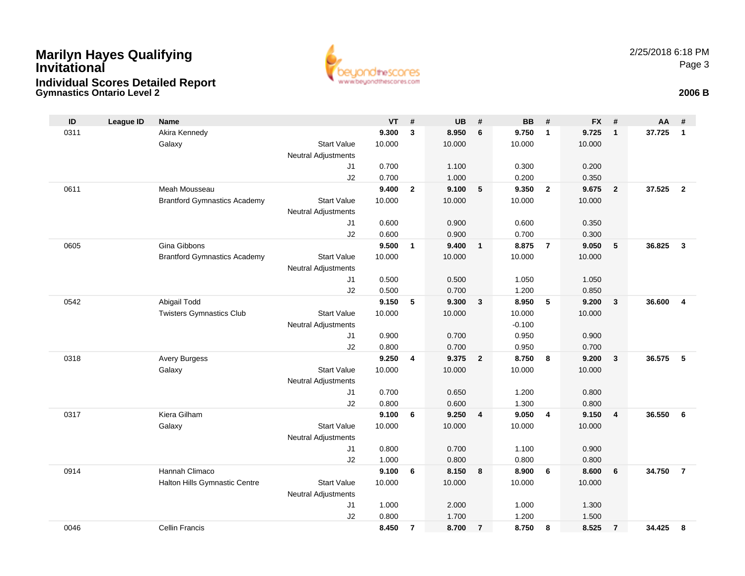## **Gymnastics Ontario Level 2 2006 BMarilyn Hayes Qualifying InvitationalIndividual Scores Detailed Report**



| ID   | <b>League ID</b> | <b>Name</b>                         |                                  | <b>VT</b> | #              | <b>UB</b> | #              | <b>BB</b> | #              | <b>FX</b> | #                       | AA     | #              |
|------|------------------|-------------------------------------|----------------------------------|-----------|----------------|-----------|----------------|-----------|----------------|-----------|-------------------------|--------|----------------|
| 0311 |                  | Akira Kennedy                       |                                  | 9.300     | 3              | 8.950     | 6              | 9.750     | $\mathbf{1}$   | 9.725     | $\mathbf{1}$            | 37.725 | $\mathbf{1}$   |
|      |                  | Galaxy                              | <b>Start Value</b>               | 10.000    |                | 10.000    |                | 10.000    |                | 10.000    |                         |        |                |
|      |                  |                                     | <b>Neutral Adjustments</b>       |           |                |           |                |           |                |           |                         |        |                |
|      |                  |                                     | J1                               | 0.700     |                | 1.100     |                | 0.300     |                | 0.200     |                         |        |                |
|      |                  |                                     | J2                               | 0.700     |                | 1.000     |                | 0.200     |                | 0.350     |                         |        |                |
| 0611 |                  | Meah Mousseau                       |                                  | 9.400     | $\overline{2}$ | 9.100     | 5              | 9.350     | $\overline{2}$ | 9.675     | $\overline{2}$          | 37.525 | $\overline{2}$ |
|      |                  | <b>Brantford Gymnastics Academy</b> | <b>Start Value</b>               | 10.000    |                | 10.000    |                | 10.000    |                | 10.000    |                         |        |                |
|      |                  |                                     | <b>Neutral Adjustments</b>       |           |                |           |                |           |                |           |                         |        |                |
|      |                  |                                     | J <sub>1</sub>                   | 0.600     |                | 0.900     |                | 0.600     |                | 0.350     |                         |        |                |
|      |                  |                                     | J2                               | 0.600     |                | 0.900     |                | 0.700     |                | 0.300     |                         |        |                |
| 0605 |                  | Gina Gibbons                        |                                  | 9.500     | $\mathbf{1}$   | 9.400     | $\mathbf{1}$   | 8.875     | $\overline{7}$ | 9.050     | 5                       | 36.825 | $\mathbf{3}$   |
|      |                  | <b>Brantford Gymnastics Academy</b> | <b>Start Value</b>               | 10.000    |                | 10.000    |                | 10.000    |                | 10.000    |                         |        |                |
|      |                  |                                     | <b>Neutral Adjustments</b><br>J1 | 0.500     |                | 0.500     |                | 1.050     |                | 1.050     |                         |        |                |
|      |                  |                                     | J2                               | 0.500     |                | 0.700     |                | 1.200     |                | 0.850     |                         |        |                |
| 0542 |                  | Abigail Todd                        |                                  | 9.150     | 5              | 9.300     | 3              | 8.950     | 5              | 9.200     | $\mathbf{3}$            | 36.600 | $\overline{4}$ |
|      |                  | <b>Twisters Gymnastics Club</b>     | <b>Start Value</b>               | 10.000    |                | 10.000    |                | 10.000    |                | 10.000    |                         |        |                |
|      |                  |                                     | <b>Neutral Adjustments</b>       |           |                |           |                | $-0.100$  |                |           |                         |        |                |
|      |                  |                                     | J1                               | 0.900     |                | 0.700     |                | 0.950     |                | 0.900     |                         |        |                |
|      |                  |                                     | J2                               | 0.800     |                | 0.700     |                | 0.950     |                | 0.700     |                         |        |                |
| 0318 |                  | <b>Avery Burgess</b>                |                                  | 9.250     | 4              | 9.375     | $\overline{2}$ | 8.750     | 8              | 9.200     | $\overline{\mathbf{3}}$ | 36.575 | 5              |
|      |                  | Galaxy                              | <b>Start Value</b>               | 10.000    |                | 10.000    |                | 10.000    |                | 10.000    |                         |        |                |
|      |                  |                                     | <b>Neutral Adjustments</b>       |           |                |           |                |           |                |           |                         |        |                |
|      |                  |                                     | J <sub>1</sub>                   | 0.700     |                | 0.650     |                | 1.200     |                | 0.800     |                         |        |                |
|      |                  |                                     | J2                               | 0.800     |                | 0.600     |                | 1.300     |                | 0.800     |                         |        |                |
| 0317 |                  | Kiera Gilham                        |                                  | 9.100     | 6              | 9.250     | $\overline{4}$ | 9.050     | $\overline{4}$ | 9.150     | $\overline{4}$          | 36.550 | 6              |
|      |                  | Galaxy                              | <b>Start Value</b>               | 10.000    |                | 10.000    |                | 10.000    |                | 10.000    |                         |        |                |
|      |                  |                                     | <b>Neutral Adjustments</b>       |           |                |           |                |           |                |           |                         |        |                |
|      |                  |                                     | J <sub>1</sub>                   | 0.800     |                | 0.700     |                | 1.100     |                | 0.900     |                         |        |                |
|      |                  |                                     | J2                               | 1.000     |                | 0.800     |                | 0.800     |                | 0.800     |                         |        |                |
| 0914 |                  | Hannah Climaco                      |                                  | 9.100     | 6              | 8.150     | 8              | 8.900     | 6              | 8.600     | 6                       | 34.750 | $\overline{7}$ |
|      |                  | Halton Hills Gymnastic Centre       | <b>Start Value</b>               | 10.000    |                | 10.000    |                | 10.000    |                | 10.000    |                         |        |                |
|      |                  |                                     | <b>Neutral Adjustments</b>       |           |                |           |                |           |                |           |                         |        |                |
|      |                  |                                     | J1                               | 1.000     |                | 2.000     |                | 1.000     |                | 1.300     |                         |        |                |
|      |                  |                                     | J2                               | 0.800     |                | 1.700     |                | 1.200     |                | 1.500     |                         |        |                |
| 0046 |                  | <b>Cellin Francis</b>               |                                  | 8.450     | $\overline{7}$ | 8.700     | $\overline{7}$ | 8.750     | 8              | 8.525     | $\overline{7}$          | 34.425 | 8              |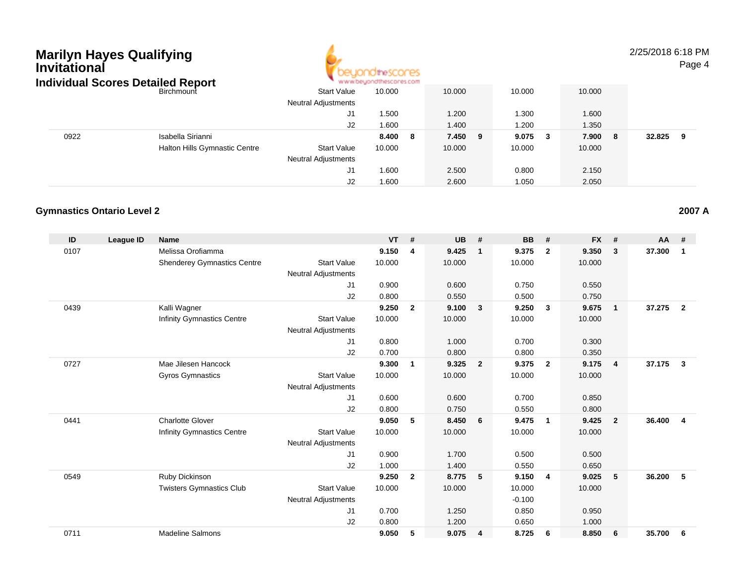| <b>Marilyn Hayes Qualifying</b><br>Invitational<br><b>Individual Scores Detailed Report</b> |                               |                            | theSCOCES |        |    |        |     |        |   | 2/25/2018 6:18 PM | Page 4 |
|---------------------------------------------------------------------------------------------|-------------------------------|----------------------------|-----------|--------|----|--------|-----|--------|---|-------------------|--------|
|                                                                                             | Birchmount                    | <b>Start Value</b>         | 10.000    | 10.000 |    | 10.000 |     | 10.000 |   |                   |        |
|                                                                                             |                               | <b>Neutral Adjustments</b> |           |        |    |        |     |        |   |                   |        |
|                                                                                             |                               | J1                         | 1.500     | 1.200  |    | 1.300  |     | 1.600  |   |                   |        |
|                                                                                             |                               | J2                         | 1.600     | 1.400  |    | 1.200  |     | 1.350  |   |                   |        |
| 0922                                                                                        | Isabella Sirianni             |                            | 8.400 8   | 7.450  | -9 | 9.075  | - 3 | 7.900  | 8 | 32.825            | - 9    |
|                                                                                             | Halton Hills Gymnastic Centre | <b>Start Value</b>         | 10.000    | 10.000 |    | 10.000 |     | 10.000 |   |                   |        |
|                                                                                             |                               | <b>Neutral Adjustments</b> |           |        |    |        |     |        |   |                   |        |
|                                                                                             |                               | J1                         | 1.600     | 2.500  |    | 0.800  |     | 2.150  |   |                   |        |
|                                                                                             |                               | J2                         | 1.600     | 2.600  |    | 1.050  |     | 2.050  |   |                   |        |

#### **Gymnastics Ontario Level 2**

| ID   | League ID | <b>Name</b>                        |                            | <b>VT</b> | #              | <b>UB</b> | #                       | <b>BB</b> | #                       | <b>FX</b> | #              | <b>AA</b> | #                       |
|------|-----------|------------------------------------|----------------------------|-----------|----------------|-----------|-------------------------|-----------|-------------------------|-----------|----------------|-----------|-------------------------|
| 0107 |           | Melissa Orofiamma                  |                            | 9.150     | 4              | 9.425     | $\mathbf{1}$            | 9.375     | $\overline{2}$          | 9.350     | 3              | 37.300    | 1                       |
|      |           | <b>Shenderey Gymnastics Centre</b> | <b>Start Value</b>         | 10.000    |                | 10.000    |                         | 10.000    |                         | 10.000    |                |           |                         |
|      |           |                                    | <b>Neutral Adjustments</b> |           |                |           |                         |           |                         |           |                |           |                         |
|      |           |                                    | J1                         | 0.900     |                | 0.600     |                         | 0.750     |                         | 0.550     |                |           |                         |
|      |           |                                    | J2                         | 0.800     |                | 0.550     |                         | 0.500     |                         | 0.750     |                |           |                         |
| 0439 |           | Kalli Wagner                       |                            | 9.250     | $\overline{2}$ | 9.100     | $\overline{\mathbf{3}}$ | 9.250     | $\mathbf{3}$            | 9.675     | $\overline{1}$ | 37.275    | $\overline{2}$          |
|      |           | <b>Infinity Gymnastics Centre</b>  | <b>Start Value</b>         | 10.000    |                | 10.000    |                         | 10.000    |                         | 10.000    |                |           |                         |
|      |           |                                    | Neutral Adjustments        |           |                |           |                         |           |                         |           |                |           |                         |
|      |           |                                    | J1                         | 0.800     |                | 1.000     |                         | 0.700     |                         | 0.300     |                |           |                         |
|      |           |                                    | J2                         | 0.700     |                | 0.800     |                         | 0.800     |                         | 0.350     |                |           |                         |
| 0727 |           | Mae Jilesen Hancock                |                            | 9.300     | 1              | 9.325     | $\overline{2}$          | 9.375     | $\overline{2}$          | 9.175     | $\overline{4}$ | 37.175    | 3                       |
|      |           | <b>Gyros Gymnastics</b>            | <b>Start Value</b>         | 10.000    |                | 10.000    |                         | 10.000    |                         | 10.000    |                |           |                         |
|      |           |                                    | <b>Neutral Adjustments</b> |           |                |           |                         |           |                         |           |                |           |                         |
|      |           |                                    | J1                         | 0.600     |                | 0.600     |                         | 0.700     |                         | 0.850     |                |           |                         |
|      |           |                                    | J2                         | 0.800     |                | 0.750     |                         | 0.550     |                         | 0.800     |                |           |                         |
| 0441 |           | <b>Charlotte Glover</b>            |                            | 9.050     | 5              | 8.450     | 6                       | 9.475     | $\overline{\mathbf{1}}$ | 9.425     | $\overline{2}$ | 36,400    | $\overline{\mathbf{4}}$ |
|      |           | <b>Infinity Gymnastics Centre</b>  | <b>Start Value</b>         | 10.000    |                | 10.000    |                         | 10.000    |                         | 10.000    |                |           |                         |
|      |           |                                    | <b>Neutral Adjustments</b> |           |                |           |                         |           |                         |           |                |           |                         |
|      |           |                                    | J1                         | 0.900     |                | 1.700     |                         | 0.500     |                         | 0.500     |                |           |                         |
|      |           |                                    | J2                         | 1.000     |                | 1.400     |                         | 0.550     |                         | 0.650     |                |           |                         |
| 0549 |           | Ruby Dickinson                     |                            | 9.250     | $\overline{2}$ | 8.775     | $-5$                    | 9.150     | $\overline{4}$          | 9.025     | 5              | 36.200    | 5                       |
|      |           | <b>Twisters Gymnastics Club</b>    | <b>Start Value</b>         | 10.000    |                | 10.000    |                         | 10.000    |                         | 10.000    |                |           |                         |
|      |           |                                    | <b>Neutral Adjustments</b> |           |                |           |                         | $-0.100$  |                         |           |                |           |                         |
|      |           |                                    | J <sub>1</sub>             | 0.700     |                | 1.250     |                         | 0.850     |                         | 0.950     |                |           |                         |
|      |           |                                    | J2                         | 0.800     |                | 1.200     |                         | 0.650     |                         | 1.000     |                |           |                         |
| 0711 |           | <b>Madeline Salmons</b>            |                            | 9.050     | 5              | 9.075     | 4                       | 8.725     | 6                       | 8.850     | 6              | 35.700    | 6                       |
|      |           |                                    |                            |           |                |           |                         |           |                         |           |                |           |                         |

**2007 A**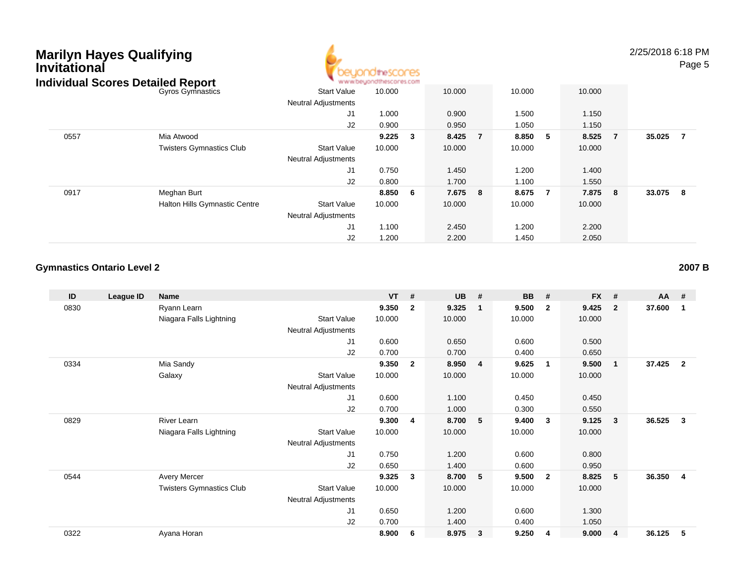

2/25/2018 6:18 PMPage 5

| idividual Scores Detalled Report |                                      |                            | ALALAM DRATCH JOSE MOTOR AD FOLLE |     |         |        |                |         |                |        |                |
|----------------------------------|--------------------------------------|----------------------------|-----------------------------------|-----|---------|--------|----------------|---------|----------------|--------|----------------|
|                                  | Gyros Gymnastics                     | <b>Start Value</b>         | 10.000                            |     | 10.000  | 10.000 |                | 10.000  |                |        |                |
|                                  |                                      | <b>Neutral Adjustments</b> |                                   |     |         |        |                |         |                |        |                |
|                                  |                                      | J1                         | 1.000                             |     | 0.900   | 1.500  |                | 1.150   |                |        |                |
|                                  |                                      | J2                         | 0.900                             |     | 0.950   | 1.050  |                | 1.150   |                |        |                |
| 0557                             | Mia Atwood                           |                            | 9.225                             | 3   | 8.425 7 | 8.850  | -5             | 8.525   | $\overline{7}$ | 35.025 | $\overline{7}$ |
|                                  | <b>Twisters Gymnastics Club</b>      | <b>Start Value</b>         | 10.000                            |     | 10.000  | 10.000 |                | 10.000  |                |        |                |
|                                  |                                      | <b>Neutral Adjustments</b> |                                   |     |         |        |                |         |                |        |                |
|                                  |                                      | J1                         | 0.750                             |     | 1.450   | 1.200  |                | 1.400   |                |        |                |
|                                  |                                      | J2                         | 0.800                             |     | 1.700   | 1.100  |                | 1.550   |                |        |                |
| 0917                             | Meghan Burt                          |                            | 8.850                             | - 6 | 7.675 8 | 8.675  | $\overline{7}$ | 7.875 8 |                | 33.075 | - 8            |
|                                  | <b>Halton Hills Gymnastic Centre</b> | <b>Start Value</b>         | 10.000                            |     | 10.000  | 10.000 |                | 10.000  |                |        |                |
|                                  |                                      | <b>Neutral Adjustments</b> |                                   |     |         |        |                |         |                |        |                |
|                                  |                                      | J <sub>1</sub>             | 1.100                             |     | 2.450   | 1.200  |                | 2.200   |                |        |                |
|                                  |                                      | J2                         | 1.200                             |     | 2.200   | 1.450  |                | 2.050   |                |        |                |

### **Gymnastics Ontario Level 2**

| ID   | League ID | Name                            |                            | <b>VT</b> | #              | <b>UB</b> | #              | <b>BB</b> | #                       | <b>FX</b> | -#                      | AA     | -#             |
|------|-----------|---------------------------------|----------------------------|-----------|----------------|-----------|----------------|-----------|-------------------------|-----------|-------------------------|--------|----------------|
| 0830 |           | Ryann Learn                     |                            | 9.350     | $\mathbf{2}$   | 9.325     | $\mathbf{1}$   | 9.500     | $\overline{\mathbf{2}}$ | 9.425     | $\overline{\mathbf{2}}$ | 37.600 | $\mathbf{1}$   |
|      |           | Niagara Falls Lightning         | <b>Start Value</b>         | 10.000    |                | 10.000    |                | 10.000    |                         | 10.000    |                         |        |                |
|      |           |                                 | Neutral Adjustments        |           |                |           |                |           |                         |           |                         |        |                |
|      |           |                                 | J <sub>1</sub>             | 0.600     |                | 0.650     |                | 0.600     |                         | 0.500     |                         |        |                |
|      |           |                                 | J <sub>2</sub>             | 0.700     |                | 0.700     |                | 0.400     |                         | 0.650     |                         |        |                |
| 0334 |           | Mia Sandy                       |                            | 9.350     | $\overline{2}$ | 8.950     | $\overline{4}$ | 9.625     | $\mathbf{1}$            | 9.500     | $\mathbf{1}$            | 37.425 | $\overline{2}$ |
|      |           | Galaxy                          | <b>Start Value</b>         | 10.000    |                | 10.000    |                | 10.000    |                         | 10.000    |                         |        |                |
|      |           |                                 | <b>Neutral Adjustments</b> |           |                |           |                |           |                         |           |                         |        |                |
|      |           |                                 | J <sub>1</sub>             | 0.600     |                | 1.100     |                | 0.450     |                         | 0.450     |                         |        |                |
|      |           |                                 | J2                         | 0.700     |                | 1.000     |                | 0.300     |                         | 0.550     |                         |        |                |
| 0829 |           | River Learn                     |                            | 9.300     | 4              | 8.700     | 5              | 9.400     | $\mathbf{3}$            | 9.125     | $\overline{\mathbf{3}}$ | 36.525 | $\mathbf{3}$   |
|      |           | Niagara Falls Lightning         | <b>Start Value</b>         | 10.000    |                | 10.000    |                | 10.000    |                         | 10.000    |                         |        |                |
|      |           |                                 | Neutral Adjustments        |           |                |           |                |           |                         |           |                         |        |                |
|      |           |                                 | J1                         | 0.750     |                | 1.200     |                | 0.600     |                         | 0.800     |                         |        |                |
|      |           |                                 | J2                         | 0.650     |                | 1.400     |                | 0.600     |                         | 0.950     |                         |        |                |
| 0544 |           | <b>Avery Mercer</b>             |                            | 9.325     | 3              | 8.700     | 5              | 9.500     | $\overline{2}$          | 8.825     | $5^{\circ}$             | 36.350 | $\overline{4}$ |
|      |           | <b>Twisters Gymnastics Club</b> | <b>Start Value</b>         | 10.000    |                | 10.000    |                | 10.000    |                         | 10.000    |                         |        |                |
|      |           |                                 | <b>Neutral Adjustments</b> |           |                |           |                |           |                         |           |                         |        |                |
|      |           |                                 | J <sub>1</sub>             | 0.650     |                | 1.200     |                | 0.600     |                         | 1.300     |                         |        |                |
|      |           |                                 | J <sub>2</sub>             | 0.700     |                | 1.400     |                | 0.400     |                         | 1.050     |                         |        |                |
| 0322 |           | Ayana Horan                     |                            | 8.900     | 6              | 8.975     | 3              | 9.250     | -4                      | 9.000     | $\overline{4}$          | 36.125 | 5              |

**2007 B**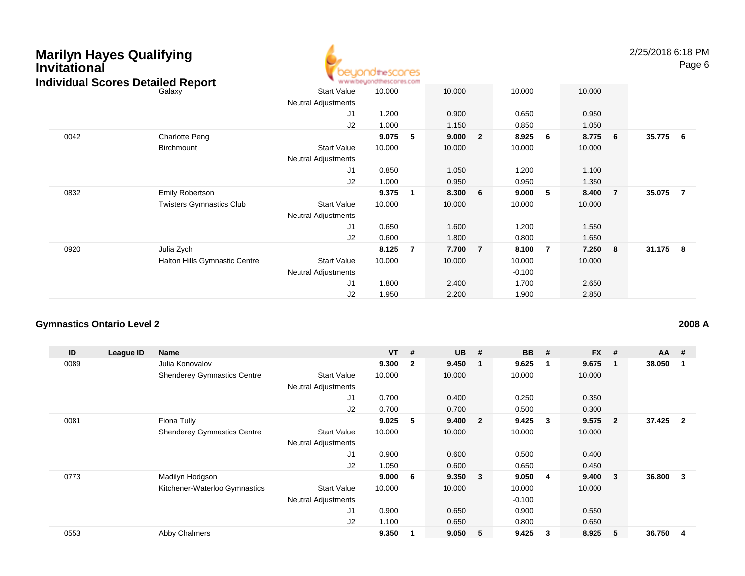| Marilyn Hayes Qualifying<br>Invitational<br><b>Individual Scores Detailed Report</b> |                                 |                                                  | OtheSCOCES<br>www.beyondthescores.com |                         |        |                |          |     |        |                | 2/25/2018 6:18 PM | Page 6         |
|--------------------------------------------------------------------------------------|---------------------------------|--------------------------------------------------|---------------------------------------|-------------------------|--------|----------------|----------|-----|--------|----------------|-------------------|----------------|
|                                                                                      | Galaxy                          | <b>Start Value</b>                               | 10.000                                |                         | 10.000 |                | 10.000   |     | 10.000 |                |                   |                |
|                                                                                      |                                 | Neutral Adjustments                              |                                       |                         |        |                |          |     |        |                |                   |                |
|                                                                                      |                                 | J <sub>1</sub>                                   | 1.200                                 |                         | 0.900  |                | 0.650    |     | 0.950  |                |                   |                |
|                                                                                      |                                 | J2                                               | 1.000                                 |                         | 1.150  |                | 0.850    |     | 1.050  |                |                   |                |
| 0042                                                                                 | <b>Charlotte Peng</b>           |                                                  | 9.075                                 | -5                      | 9.000  | $\overline{2}$ | 8.925    | - 6 | 8.775  | 6              | 35.775            | 6              |
|                                                                                      | Birchmount                      | <b>Start Value</b>                               | 10.000                                |                         | 10.000 |                | 10.000   |     | 10.000 |                |                   |                |
|                                                                                      |                                 | Neutral Adjustments                              |                                       |                         |        |                |          |     |        |                |                   |                |
|                                                                                      |                                 | J1                                               | 0.850                                 |                         | 1.050  |                | 1.200    |     | 1.100  |                |                   |                |
|                                                                                      |                                 | J2                                               | 1.000                                 |                         | 0.950  |                | 0.950    |     | 1.350  |                |                   |                |
| 0832                                                                                 | <b>Emily Robertson</b>          |                                                  | 9.375                                 | $\overline{\mathbf{1}}$ | 8.300  | 6              | 9.000    | -5  | 8.400  | $\overline{7}$ | 35.075            | $\overline{7}$ |
|                                                                                      | <b>Twisters Gymnastics Club</b> | <b>Start Value</b><br><b>Neutral Adjustments</b> | 10.000                                |                         | 10.000 |                | 10.000   |     | 10.000 |                |                   |                |
|                                                                                      |                                 | J1                                               | 0.650                                 |                         | 1.600  |                | 1.200    |     | 1.550  |                |                   |                |
|                                                                                      |                                 | J2                                               | 0.600                                 |                         | 1.800  |                | 0.800    |     | 1.650  |                |                   |                |
| 0920                                                                                 | Julia Zych                      |                                                  | 8.125                                 | -7                      | 7.700  | $\overline{7}$ | 8.100    | -7  | 7.250  | 8              | 31.175            | 8              |
|                                                                                      | Halton Hills Gymnastic Centre   | <b>Start Value</b>                               | 10.000                                |                         | 10.000 |                | 10.000   |     | 10.000 |                |                   |                |
|                                                                                      |                                 | Neutral Adjustments                              |                                       |                         |        |                | $-0.100$ |     |        |                |                   |                |
|                                                                                      |                                 | J1                                               | 1.800                                 |                         | 2.400  |                | 1.700    |     | 2.650  |                |                   |                |
|                                                                                      |                                 | J2                                               | 1.950                                 |                         | 2.200  |                | 1.900    |     | 2.850  |                |                   |                |

## **Gymnastics Ontario Level 2**

| ID   | League ID | Name                               |                            | <b>VT</b> | #                       | <b>UB</b> | #                       | <b>BB</b> | #  | <b>FX</b> | #              | $AA$ # |                |
|------|-----------|------------------------------------|----------------------------|-----------|-------------------------|-----------|-------------------------|-----------|----|-----------|----------------|--------|----------------|
| 0089 |           | Julia Konovalov                    |                            | 9.300     | $\overline{\mathbf{2}}$ | 9.450     | - 1                     | 9.625     | -1 | 9.675     |                | 38.050 |                |
|      |           | <b>Shenderey Gymnastics Centre</b> | <b>Start Value</b>         | 10.000    |                         | 10.000    |                         | 10.000    |    | 10.000    |                |        |                |
|      |           |                                    | <b>Neutral Adjustments</b> |           |                         |           |                         |           |    |           |                |        |                |
|      |           |                                    | J <sub>1</sub>             | 0.700     |                         | 0.400     |                         | 0.250     |    | 0.350     |                |        |                |
|      |           |                                    | J <sub>2</sub>             | 0.700     |                         | 0.700     |                         | 0.500     |    | 0.300     |                |        |                |
| 0081 |           | Fiona Tully                        |                            | 9.025     | 5                       | 9.400     | $\overline{\mathbf{2}}$ | 9.425     | 3  | 9.575     | $\overline{2}$ | 37.425 | $\overline{2}$ |
|      |           | <b>Shenderey Gymnastics Centre</b> | <b>Start Value</b>         | 10.000    |                         | 10.000    |                         | 10.000    |    | 10.000    |                |        |                |
|      |           |                                    | <b>Neutral Adjustments</b> |           |                         |           |                         |           |    |           |                |        |                |
|      |           |                                    | J <sub>1</sub>             | 0.900     |                         | 0.600     |                         | 0.500     |    | 0.400     |                |        |                |
|      |           |                                    | J2                         | 1.050     |                         | 0.600     |                         | 0.650     |    | 0.450     |                |        |                |
| 0773 |           | Madilyn Hodgson                    |                            | 9.000     | - 6                     | 9.350     | $\overline{\mathbf{3}}$ | 9.050     | -4 | 9.400     | 3              | 36.800 | 3              |
|      |           | Kitchener-Waterloo Gymnastics      | <b>Start Value</b>         | 10.000    |                         | 10.000    |                         | 10.000    |    | 10.000    |                |        |                |
|      |           |                                    | <b>Neutral Adjustments</b> |           |                         |           |                         | $-0.100$  |    |           |                |        |                |
|      |           |                                    | J1                         | 0.900     |                         | 0.650     |                         | 0.900     |    | 0.550     |                |        |                |
|      |           |                                    | J2                         | 1.100     |                         | 0.650     |                         | 0.800     |    | 0.650     |                |        |                |
| 0553 |           | <b>Abby Chalmers</b>               |                            | 9.350     |                         | 9.050     | -5                      | 9.425     | 3  | 8.925     | 5              | 36.750 | 4              |

**2008 A**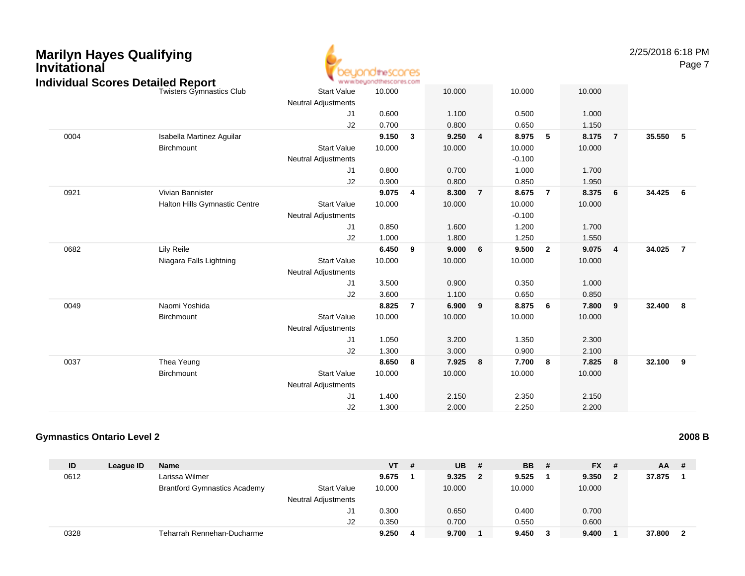

2/25/2018 6:18 PM

Page 7

|      | idividual Scores Detailed Report |                            | a a ann an An an ann an an An Ann a |                |        |   |          |                |        |                         |          |                         |
|------|----------------------------------|----------------------------|-------------------------------------|----------------|--------|---|----------|----------------|--------|-------------------------|----------|-------------------------|
|      | <b>Twisters Gymnastics Club</b>  | <b>Start Value</b>         | 10.000                              |                | 10.000 |   | 10.000   |                | 10.000 |                         |          |                         |
|      |                                  | <b>Neutral Adjustments</b> |                                     |                |        |   |          |                |        |                         |          |                         |
|      |                                  | J1                         | 0.600                               |                | 1.100  |   | 0.500    |                | 1.000  |                         |          |                         |
|      |                                  | J2                         | 0.700                               |                | 0.800  |   | 0.650    |                | 1.150  |                         |          |                         |
| 0004 | Isabella Martinez Aguilar        |                            | 9.150                               | 3              | 9.250  | 4 | 8.975    | 5              | 8.175  | $\overline{7}$          | 35.550 5 |                         |
|      | Birchmount                       | <b>Start Value</b>         | 10.000                              |                | 10.000 |   | 10.000   |                | 10.000 |                         |          |                         |
|      |                                  | <b>Neutral Adjustments</b> |                                     |                |        |   | $-0.100$ |                |        |                         |          |                         |
|      |                                  | J1                         | 0.800                               |                | 0.700  |   | 1.000    |                | 1.700  |                         |          |                         |
|      |                                  | J2                         | 0.900                               |                | 0.800  |   | 0.850    |                | 1.950  |                         |          |                         |
| 0921 | Vivian Bannister                 |                            | 9.075                               | 4              | 8.300  | 7 | 8.675    | $\overline{7}$ | 8.375  | $6\overline{6}$         | 34.425 6 |                         |
|      | Halton Hills Gymnastic Centre    | <b>Start Value</b>         | 10.000                              |                | 10.000 |   | 10.000   |                | 10.000 |                         |          |                         |
|      |                                  | <b>Neutral Adjustments</b> |                                     |                |        |   | $-0.100$ |                |        |                         |          |                         |
|      |                                  | J1                         | 0.850                               |                | 1.600  |   | 1.200    |                | 1.700  |                         |          |                         |
|      |                                  | J2                         | 1.000                               |                | 1.800  |   | 1.250    |                | 1.550  |                         |          |                         |
| 0682 | <b>Lily Reile</b>                |                            | 6.450                               | 9              | 9.000  | 6 | 9.500    | $\overline{2}$ | 9.075  | $\overline{\mathbf{4}}$ | 34.025   | $\overline{7}$          |
|      | Niagara Falls Lightning          | <b>Start Value</b>         | 10.000                              |                | 10.000 |   | 10.000   |                | 10.000 |                         |          |                         |
|      |                                  | <b>Neutral Adjustments</b> |                                     |                |        |   |          |                |        |                         |          |                         |
|      |                                  | J1                         | 3.500                               |                | 0.900  |   | 0.350    |                | 1.000  |                         |          |                         |
|      |                                  | J2                         | 3.600                               |                | 1.100  |   | 0.650    |                | 0.850  |                         |          |                         |
| 0049 | Naomi Yoshida                    |                            | 8.825                               | $\overline{7}$ | 6.900  | 9 | 8.875    | 6              | 7.800  | $\overline{\mathbf{9}}$ | 32.400   | $\overline{\mathbf{8}}$ |
|      | Birchmount                       | <b>Start Value</b>         | 10.000                              |                | 10.000 |   | 10.000   |                | 10.000 |                         |          |                         |
|      |                                  | <b>Neutral Adjustments</b> |                                     |                |        |   |          |                |        |                         |          |                         |
|      |                                  | J1                         | 1.050                               |                | 3.200  |   | 1.350    |                | 2.300  |                         |          |                         |
|      |                                  | J2                         | 1.300                               |                | 3.000  |   | 0.900    |                | 2.100  |                         |          |                         |
| 0037 | Thea Yeung                       |                            | 8.650                               | 8              | 7.925  | 8 | 7.700    | 8              | 7.825  | 8                       | 32.100 9 |                         |
|      | Birchmount                       | <b>Start Value</b>         | 10.000                              |                | 10.000 |   | 10.000   |                | 10.000 |                         |          |                         |
|      |                                  | <b>Neutral Adjustments</b> |                                     |                |        |   |          |                |        |                         |          |                         |
|      |                                  | J1                         | 1.400                               |                | 2.150  |   | 2.350    |                | 2.150  |                         |          |                         |
|      |                                  | J2                         | 1.300                               |                | 2.000  |   | 2.250    |                | 2.200  |                         |          |                         |
|      |                                  |                            |                                     |                |        |   |          |                |        |                         |          |                         |

#### **Gymnastics Ontario Level 2**

| ID   | League ID | Name                                |                            | VT     | # | <b>UB</b> | # | <b>BB</b> # |   | $FX$ # | $AA$ # |   |
|------|-----------|-------------------------------------|----------------------------|--------|---|-----------|---|-------------|---|--------|--------|---|
| 0612 |           | Larissa Wilmer                      |                            | 9.675  |   | 9.325     | 2 | 9.525       |   | 9.350  | 37.875 |   |
|      |           | <b>Brantford Gymnastics Academy</b> | <b>Start Value</b>         | 10.000 |   | 10.000    |   | 10.000      |   | 10.000 |        |   |
|      |           |                                     | <b>Neutral Adjustments</b> |        |   |           |   |             |   |        |        |   |
|      |           |                                     | ັບ                         | 0.300  |   | 0.650     |   | 0.400       |   | 0.700  |        |   |
|      |           |                                     | J2                         | 0.350  |   | 0.700     |   | 0.550       |   | 0.600  |        |   |
| 0328 |           | Teharrah Rennehan-Ducharme          |                            | 9.250  | 4 | 9.700     |   | 9.450       | 3 | 9.400  | 37,800 | 2 |

**2008 B**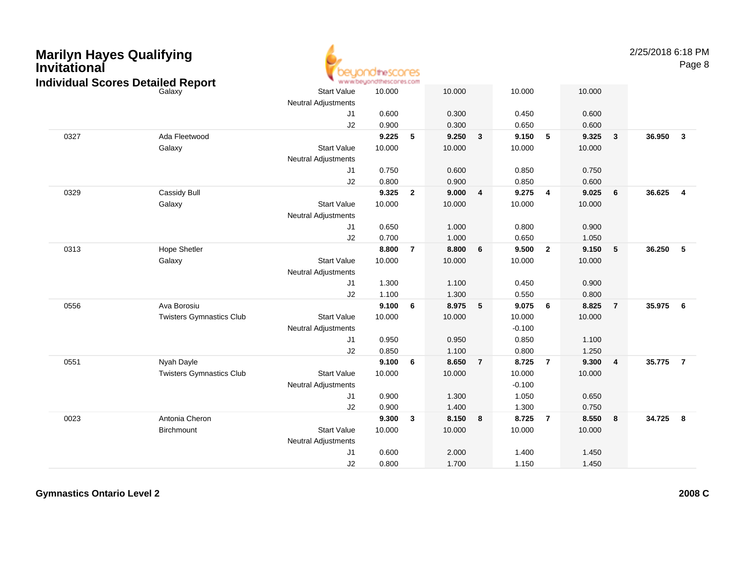| Marilyn Hayes Qualifying<br>Invitational | <b>Individual Scores Detailed Report</b> |                                                  | idtrescores<br>www.beyondthescores.com |                |        |                |          |                |        |                         | 2/25/2018 6:18 PM | Page 8                  |
|------------------------------------------|------------------------------------------|--------------------------------------------------|----------------------------------------|----------------|--------|----------------|----------|----------------|--------|-------------------------|-------------------|-------------------------|
|                                          | Galaxy                                   | <b>Start Value</b><br><b>Neutral Adjustments</b> | 10.000                                 |                | 10.000 |                | 10.000   |                | 10.000 |                         |                   |                         |
|                                          |                                          | J <sub>1</sub>                                   | 0.600                                  |                | 0.300  |                | 0.450    |                | 0.600  |                         |                   |                         |
|                                          |                                          | J2                                               | 0.900                                  |                | 0.300  |                | 0.650    |                | 0.600  |                         |                   |                         |
| 0327                                     | Ada Fleetwood                            |                                                  | 9.225                                  | 5              | 9.250  | 3              | 9.150    | 5              | 9.325  | 3                       | 36.950            | $\overline{\mathbf{3}}$ |
|                                          | Galaxy                                   | <b>Start Value</b>                               | 10.000                                 |                | 10.000 |                | 10.000   |                | 10.000 |                         |                   |                         |
|                                          |                                          | <b>Neutral Adjustments</b>                       |                                        |                |        |                |          |                |        |                         |                   |                         |
|                                          |                                          | J1                                               | 0.750                                  |                | 0.600  |                | 0.850    |                | 0.750  |                         |                   |                         |
|                                          |                                          | J2                                               | 0.800                                  |                | 0.900  |                | 0.850    |                | 0.600  |                         |                   |                         |
| 0329                                     | Cassidy Bull                             |                                                  | 9.325                                  | $\overline{2}$ | 9.000  | $\overline{4}$ | 9.275    | $\overline{4}$ | 9.025  | 6                       | 36.625            | $\overline{4}$          |
|                                          | Galaxy                                   | <b>Start Value</b>                               | 10.000                                 |                | 10.000 |                | 10.000   |                | 10.000 |                         |                   |                         |
|                                          |                                          | Neutral Adjustments                              |                                        |                |        |                |          |                |        |                         |                   |                         |
|                                          |                                          | J1                                               | 0.650                                  |                | 1.000  |                | 0.800    |                | 0.900  |                         |                   |                         |
|                                          |                                          | J2                                               | 0.700                                  |                | 1.000  |                | 0.650    |                | 1.050  |                         |                   |                         |
| 0313                                     | <b>Hope Shetler</b>                      |                                                  | 8.800                                  | $\overline{7}$ | 8.800  | 6              | 9.500    | $\overline{2}$ | 9.150  | 5                       | 36.250            | -5                      |
|                                          | Galaxy                                   | <b>Start Value</b>                               | 10.000                                 |                | 10.000 |                | 10.000   |                | 10.000 |                         |                   |                         |
|                                          |                                          | <b>Neutral Adjustments</b>                       |                                        |                |        |                |          |                |        |                         |                   |                         |
|                                          |                                          | J1                                               | 1.300                                  |                | 1.100  |                | 0.450    |                | 0.900  |                         |                   |                         |
|                                          |                                          | J2                                               | 1.100                                  |                | 1.300  |                | 0.550    |                | 0.800  |                         |                   |                         |
| 0556                                     | Ava Borosiu                              |                                                  | 9.100                                  | 6              | 8.975  | 5              | 9.075    | 6              | 8.825  | $\overline{7}$          | 35.975            | - 6                     |
|                                          | <b>Twisters Gymnastics Club</b>          | <b>Start Value</b>                               | 10.000                                 |                | 10.000 |                | 10.000   |                | 10.000 |                         |                   |                         |
|                                          |                                          | <b>Neutral Adjustments</b>                       |                                        |                |        |                | $-0.100$ |                |        |                         |                   |                         |
|                                          |                                          | J1                                               | 0.950                                  |                | 0.950  |                | 0.850    |                | 1.100  |                         |                   |                         |
|                                          |                                          | J2                                               | 0.850                                  |                | 1.100  |                | 0.800    |                | 1.250  |                         |                   |                         |
| 0551                                     | Nyah Dayle                               |                                                  | 9.100                                  | 6              | 8.650  | $\overline{7}$ | 8.725    | $\overline{7}$ | 9.300  | $\overline{\mathbf{4}}$ | 35.775            | $\overline{7}$          |
|                                          | <b>Twisters Gymnastics Club</b>          | <b>Start Value</b>                               | 10.000                                 |                | 10.000 |                | 10.000   |                | 10.000 |                         |                   |                         |
|                                          |                                          | Neutral Adjustments                              |                                        |                |        |                | $-0.100$ |                |        |                         |                   |                         |
|                                          |                                          | J1                                               | 0.900                                  |                | 1.300  |                | 1.050    |                | 0.650  |                         |                   |                         |
|                                          |                                          | J2                                               | 0.900                                  |                | 1.400  |                | 1.300    |                | 0.750  |                         |                   |                         |
| 0023                                     | Antonia Cheron                           |                                                  | 9.300                                  | $\mathbf{3}$   | 8.150  | 8              | 8.725    | $\overline{7}$ | 8.550  | 8                       | 34.725            | -8                      |
|                                          | Birchmount                               | <b>Start Value</b>                               | 10.000                                 |                | 10.000 |                | 10.000   |                | 10.000 |                         |                   |                         |
|                                          |                                          | <b>Neutral Adjustments</b>                       |                                        |                |        |                |          |                |        |                         |                   |                         |
|                                          |                                          | J1                                               | 0.600                                  |                | 2.000  |                | 1.400    |                | 1.450  |                         |                   |                         |
|                                          |                                          | J2                                               | 0.800                                  |                | 1.700  |                | 1.150    |                | 1.450  |                         |                   |                         |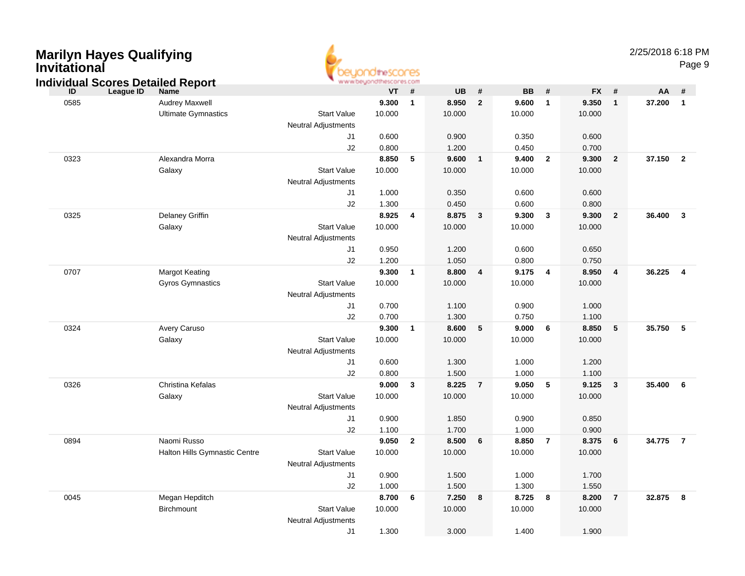| <b>Marilyn Hayes Qualifying</b><br><b>Invitational</b><br><b>Individual Scores Detailed Report</b> |                               |                                                  | <b>IOtheSCOPES</b><br>www.beyondthescores.com |                          |           |                |           |                         |           |                | 2/25/2018 6:18 PM | Page 9                  |  |
|----------------------------------------------------------------------------------------------------|-------------------------------|--------------------------------------------------|-----------------------------------------------|--------------------------|-----------|----------------|-----------|-------------------------|-----------|----------------|-------------------|-------------------------|--|
| League ID<br>ID                                                                                    | <b>Name</b>                   |                                                  | <b>VT</b>                                     | #                        | <b>UB</b> | #              | <b>BB</b> | #                       | <b>FX</b> | #              | AA                | #                       |  |
| 0585                                                                                               | Audrey Maxwell                |                                                  | 9.300                                         | $\overline{\mathbf{1}}$  | 8.950     | $\overline{2}$ | 9.600     | $\overline{1}$          | 9.350     | $\mathbf{1}$   | 37.200            | $\overline{\mathbf{1}}$ |  |
|                                                                                                    | <b>Ultimate Gymnastics</b>    | <b>Start Value</b><br><b>Neutral Adjustments</b> | 10.000                                        |                          | 10.000    |                | 10.000    |                         | 10.000    |                |                   |                         |  |
|                                                                                                    |                               | J1                                               | 0.600                                         |                          | 0.900     |                | 0.350     |                         | 0.600     |                |                   |                         |  |
|                                                                                                    |                               | J2                                               | 0.800                                         |                          | 1.200     |                | 0.450     |                         | 0.700     |                |                   |                         |  |
| 0323                                                                                               | Alexandra Morra               |                                                  | 8.850                                         | $-5$                     | 9.600     | $\mathbf{1}$   | 9.400     | $\overline{\mathbf{2}}$ | 9.300     | $\overline{2}$ | 37.150            | $\overline{2}$          |  |
|                                                                                                    | Galaxy                        | <b>Start Value</b><br><b>Neutral Adjustments</b> | 10.000                                        |                          | 10.000    |                | 10.000    |                         | 10.000    |                |                   |                         |  |
|                                                                                                    |                               | J1                                               | 1.000                                         |                          | 0.350     |                | 0.600     |                         | 0.600     |                |                   |                         |  |
|                                                                                                    |                               | J2                                               | 1.300                                         |                          | 0.450     |                | 0.600     |                         | 0.800     |                |                   |                         |  |
| 0325                                                                                               | Delaney Griffin               |                                                  | 8.925                                         | $\overline{\mathbf{4}}$  | 8.875     | 3              | 9.300     | $\mathbf{3}$            | 9.300     | $\overline{2}$ | 36.400            | $\overline{\mathbf{3}}$ |  |
|                                                                                                    | Galaxy                        | <b>Start Value</b><br><b>Neutral Adjustments</b> | 10.000                                        |                          | 10.000    |                | 10.000    |                         | 10.000    |                |                   |                         |  |
|                                                                                                    |                               | J1                                               | 0.950                                         |                          | 1.200     |                | 0.600     |                         | 0.650     |                |                   |                         |  |
|                                                                                                    |                               | J2                                               | 1.200                                         |                          | 1.050     |                | 0.800     |                         | 0.750     |                |                   |                         |  |
| 0707                                                                                               | <b>Margot Keating</b>         |                                                  | 9.300                                         | $\overline{\phantom{0}}$ | 8.800     | $\overline{4}$ | 9.175     | $\overline{\mathbf{4}}$ | 8.950     | 4              | 36.225            | $\overline{4}$          |  |
|                                                                                                    | Gyros Gymnastics              | <b>Start Value</b><br><b>Neutral Adjustments</b> | 10.000                                        |                          | 10.000    |                | 10.000    |                         | 10.000    |                |                   |                         |  |
|                                                                                                    |                               | J1                                               | 0.700                                         |                          | 1.100     |                | 0.900     |                         | 1.000     |                |                   |                         |  |
|                                                                                                    |                               | J2                                               | 0.700                                         |                          | 1.300     |                | 0.750     |                         | 1.100     |                |                   |                         |  |
| 0324                                                                                               | Avery Caruso                  |                                                  | 9.300                                         | $\overline{\phantom{0}}$ | 8.600     | 5              | 9.000     | 6                       | 8.850     | 5              | 35.750            | - 5                     |  |
|                                                                                                    | Galaxy                        | <b>Start Value</b><br><b>Neutral Adjustments</b> | 10.000                                        |                          | 10.000    |                | 10.000    |                         | 10.000    |                |                   |                         |  |
|                                                                                                    |                               | J1                                               | 0.600                                         |                          | 1.300     |                | 1.000     |                         | 1.200     |                |                   |                         |  |
|                                                                                                    |                               | J2                                               | 0.800                                         |                          | 1.500     |                | 1.000     |                         | 1.100     |                |                   |                         |  |
| 0326                                                                                               | Christina Kefalas             |                                                  | 9.000                                         | $\overline{\mathbf{3}}$  | 8.225     | $\overline{7}$ | 9.050     | 5                       | 9.125     | 3              | 35.400            | - 6                     |  |
|                                                                                                    | Galaxy                        | <b>Start Value</b>                               | 10.000                                        |                          | 10.000    |                | 10.000    |                         | 10.000    |                |                   |                         |  |
|                                                                                                    |                               | <b>Neutral Adjustments</b>                       |                                               |                          |           |                |           |                         |           |                |                   |                         |  |
|                                                                                                    |                               | J <sub>1</sub>                                   | 0.900                                         |                          | 1.850     |                | 0.900     |                         | 0.850     |                |                   |                         |  |
|                                                                                                    |                               | J2                                               | 1.100                                         |                          | 1.700     |                | 1.000     |                         | 0.900     |                |                   |                         |  |
| 0894                                                                                               | Naomi Russo                   |                                                  | 9.050                                         | $\overline{\mathbf{2}}$  | 8.500     | 6              | 8.850     | $\overline{7}$          | 8.375     | 6              | 34.775            | $\overline{7}$          |  |
|                                                                                                    | Halton Hills Gymnastic Centre | <b>Start Value</b>                               | 10.000                                        |                          | 10.000    |                | 10.000    |                         | 10.000    |                |                   |                         |  |
|                                                                                                    |                               | Neutral Adjustments                              |                                               |                          |           |                |           |                         |           |                |                   |                         |  |
|                                                                                                    |                               | J1                                               | 0.900                                         |                          | 1.500     |                | 1.000     |                         | 1.700     |                |                   |                         |  |
|                                                                                                    |                               | J2                                               | 1.000                                         |                          | 1.500     |                | 1.300     |                         | 1.550     |                |                   |                         |  |
| 0045                                                                                               | Megan Hepditch                |                                                  | 8.700 6                                       |                          | 7.250     | 8              | 8.725     | $\overline{\mathbf{8}}$ | 8.200     | $\overline{7}$ | 32.875 8          |                         |  |
|                                                                                                    | Birchmount                    | Start Value<br>Neutral Adjustments               | 10.000                                        |                          | 10.000    |                | 10.000    |                         | 10.000    |                |                   |                         |  |
|                                                                                                    |                               | J1                                               | 1.300                                         |                          | 3.000     |                | 1.400     |                         | 1.900     |                |                   |                         |  |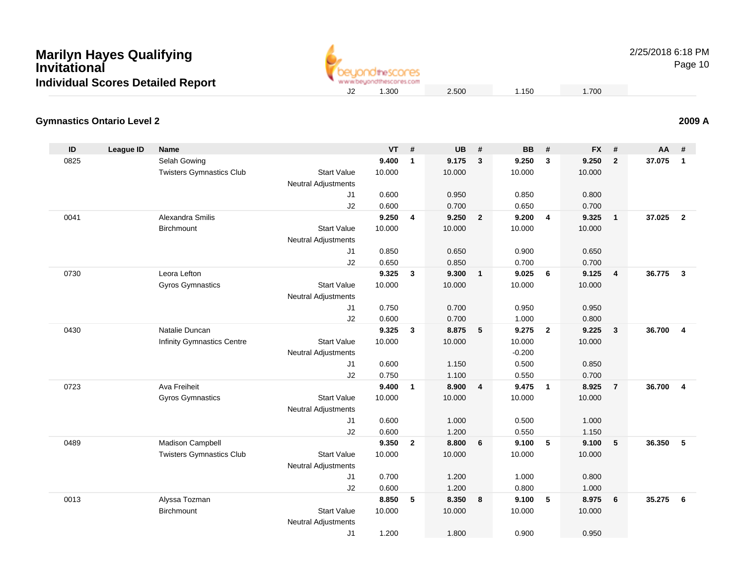

2/25/2018 6:18 PM

Page 10

## **2009 A**

#### **Gymnastics Ontario Level 2**

| ID   | <b>League ID</b> | <b>Name</b>                     |                                                  | <b>VT</b> | #              | <b>UB</b> | #              | <b>BB</b> | #                       | <b>FX</b> | #               | AA     | #              |
|------|------------------|---------------------------------|--------------------------------------------------|-----------|----------------|-----------|----------------|-----------|-------------------------|-----------|-----------------|--------|----------------|
| 0825 |                  | Selah Gowing                    |                                                  | 9.400     | $\mathbf{1}$   | 9.175     | $\mathbf{3}$   | 9.250     | 3                       | 9.250     | $\overline{2}$  | 37.075 | $\overline{1}$ |
|      |                  | <b>Twisters Gymnastics Club</b> | <b>Start Value</b>                               | 10.000    |                | 10.000    |                | 10.000    |                         | 10.000    |                 |        |                |
|      |                  |                                 | Neutral Adjustments                              |           |                |           |                |           |                         |           |                 |        |                |
|      |                  |                                 | J1                                               | 0.600     |                | 0.950     |                | 0.850     |                         | 0.800     |                 |        |                |
|      |                  |                                 | J2                                               | 0.600     |                | 0.700     |                | 0.650     |                         | 0.700     |                 |        |                |
| 0041 |                  | Alexandra Smilis                |                                                  | 9.250     | $\overline{4}$ | 9.250     | $\overline{2}$ | 9.200     | $\overline{4}$          | 9.325     | $\mathbf{1}$    | 37.025 | $\overline{2}$ |
|      |                  | <b>Birchmount</b>               | <b>Start Value</b>                               | 10.000    |                | 10.000    |                | 10.000    |                         | 10.000    |                 |        |                |
|      |                  |                                 | <b>Neutral Adjustments</b>                       |           |                |           |                |           |                         |           |                 |        |                |
|      |                  |                                 | J1                                               | 0.850     |                | 0.650     |                | 0.900     |                         | 0.650     |                 |        |                |
|      |                  |                                 | J2                                               | 0.650     |                | 0.850     |                | 0.700     |                         | 0.700     |                 |        |                |
| 0730 |                  | Leora Lefton                    |                                                  | 9.325     | $\mathbf{3}$   | 9.300     | $\overline{1}$ | 9.025     | 6                       | 9.125     | $\overline{4}$  | 36.775 | $\overline{3}$ |
|      |                  | <b>Gyros Gymnastics</b>         | <b>Start Value</b>                               | 10.000    |                | 10.000    |                | 10.000    |                         | 10.000    |                 |        |                |
|      |                  |                                 | <b>Neutral Adjustments</b>                       |           |                |           |                |           |                         |           |                 |        |                |
|      |                  |                                 | J1                                               | 0.750     |                | 0.700     |                | 0.950     |                         | 0.950     |                 |        |                |
|      |                  |                                 | J2                                               | 0.600     |                | 0.700     |                | 1.000     |                         | 0.800     |                 |        |                |
| 0430 |                  | Natalie Duncan                  |                                                  | 9.325     | 3              | 8.875     | $-5$           | 9.275     | $\overline{\mathbf{2}}$ | 9.225     | 3               | 36.700 | $\overline{4}$ |
|      |                  | Infinity Gymnastics Centre      | <b>Start Value</b>                               | 10.000    |                | 10.000    |                | 10.000    |                         | 10.000    |                 |        |                |
|      |                  |                                 | <b>Neutral Adjustments</b>                       |           |                |           |                | $-0.200$  |                         |           |                 |        |                |
|      |                  |                                 | J1                                               | 0.600     |                | 1.150     |                | 0.500     |                         | 0.850     |                 |        |                |
|      |                  |                                 | J2                                               | 0.750     |                | 1.100     |                | 0.550     |                         | 0.700     |                 |        |                |
| 0723 |                  | Ava Freiheit                    |                                                  | 9.400     | $\mathbf{1}$   | 8.900     | $\overline{4}$ | 9.475     | $\mathbf{1}$            | 8.925     | $\overline{7}$  | 36.700 | $\overline{4}$ |
|      |                  | <b>Gyros Gymnastics</b>         | <b>Start Value</b><br><b>Neutral Adjustments</b> | 10.000    |                | 10.000    |                | 10.000    |                         | 10.000    |                 |        |                |
|      |                  |                                 | J1                                               | 0.600     |                | 1.000     |                | 0.500     |                         | 1.000     |                 |        |                |
|      |                  |                                 | J2                                               | 0.600     |                | 1.200     |                | 0.550     |                         | 1.150     |                 |        |                |
| 0489 |                  | Madison Campbell                |                                                  | 9.350     | $\mathbf{2}$   | 8.800     | 6              | 9.100     | 5                       | 9.100     | $5\phantom{.0}$ | 36.350 | 5              |
|      |                  | <b>Twisters Gymnastics Club</b> | <b>Start Value</b>                               | 10.000    |                | 10.000    |                | 10.000    |                         | 10.000    |                 |        |                |
|      |                  |                                 | <b>Neutral Adjustments</b>                       |           |                |           |                |           |                         |           |                 |        |                |
|      |                  |                                 | J1                                               | 0.700     |                | 1.200     |                | 1.000     |                         | 0.800     |                 |        |                |
|      |                  |                                 | J2                                               | 0.600     |                | 1.200     |                | 0.800     |                         | 1.000     |                 |        |                |
| 0013 |                  | Alyssa Tozman                   |                                                  | 8.850     | 5              | 8.350     | 8              | 9.100     | 5                       | 8.975     | 6               | 35.275 | 6              |
|      |                  | Birchmount                      | <b>Start Value</b>                               | 10.000    |                | 10.000    |                | 10.000    |                         | 10.000    |                 |        |                |
|      |                  |                                 | <b>Neutral Adjustments</b>                       |           |                |           |                |           |                         |           |                 |        |                |
|      |                  |                                 | J <sub>1</sub>                                   | 1.200     |                | 1.800     |                | 0.900     |                         | 0.950     |                 |        |                |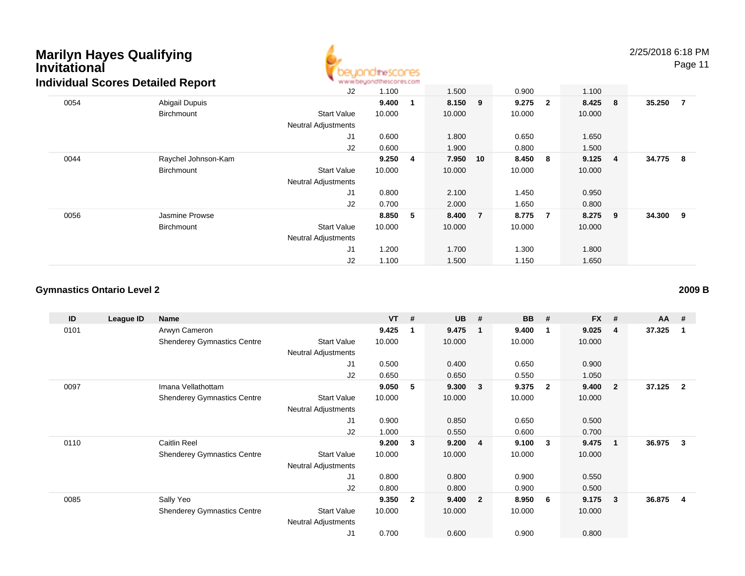

2/25/2018 6:18 PM

Page 11

|      | <u>alviadal 900100 Dotalioa Ropolt</u> | J2                         | 1.100  |   | 1.500   |                | 0.900  |                | 1.100   |                |          |                |
|------|----------------------------------------|----------------------------|--------|---|---------|----------------|--------|----------------|---------|----------------|----------|----------------|
| 0054 | Abigail Dupuis                         |                            | 9.400  |   | 8.150 9 |                | 9.275  | $\overline{2}$ | 8.425 8 |                | 35.250   | $\overline{7}$ |
|      | Birchmount                             | <b>Start Value</b>         | 10.000 |   | 10.000  |                | 10.000 |                | 10.000  |                |          |                |
|      |                                        | <b>Neutral Adjustments</b> |        |   |         |                |        |                |         |                |          |                |
|      |                                        | J <sub>1</sub>             | 0.600  |   | 1.800   |                | 0.650  |                | 1.650   |                |          |                |
|      |                                        | J2                         | 0.600  |   | 1.900   |                | 0.800  |                | 1.500   |                |          |                |
| 0044 | Raychel Johnson-Kam                    |                            | 9.250  | 4 | 7.950   | 10             | 8.450  | -8             | 9.125   | $\overline{4}$ | 34.775 8 |                |
|      | Birchmount                             | <b>Start Value</b>         | 10.000 |   | 10.000  |                | 10.000 |                | 10.000  |                |          |                |
|      |                                        | <b>Neutral Adjustments</b> |        |   |         |                |        |                |         |                |          |                |
|      |                                        | J <sub>1</sub>             | 0.800  |   | 2.100   |                | 1.450  |                | 0.950   |                |          |                |
|      |                                        | J2                         | 0.700  |   | 2.000   |                | 1.650  |                | 0.800   |                |          |                |
| 0056 | Jasmine Prowse                         |                            | 8.850  | 5 | 8.400   | $\overline{7}$ | 8.775  | $\overline{7}$ | 8.275 9 |                | 34.300 9 |                |
|      | Birchmount                             | <b>Start Value</b>         | 10.000 |   | 10.000  |                | 10.000 |                | 10.000  |                |          |                |
|      |                                        | <b>Neutral Adjustments</b> |        |   |         |                |        |                |         |                |          |                |
|      |                                        | J1                         | 1.200  |   | 1.700   |                | 1.300  |                | 1.800   |                |          |                |
|      |                                        | J2                         | 1.100  |   | 1.500   |                | 1.150  |                | 1.650   |                |          |                |

#### **Gymnastics Ontario Level 2**

**ID League ID Name VT # UB # BB # FX # AA #** 0101 Arwyn Cameron **9.425 <sup>1</sup> 9.475 <sup>1</sup> 9.400 <sup>1</sup> 9.025 <sup>4</sup> 37.325 <sup>1</sup>** Shenderey Gymnastics Centre Start Value 10.000 10.000 10.000 10.000 Neutral Adjustments J1 0.500 0.400 0.650 0.900 J2 0.650 0.650 0.550 1.050 0097 Imana Vellathottam **9.050 <sup>5</sup> 9.300 <sup>3</sup> 9.375 <sup>2</sup> 9.400 <sup>2</sup> 37.125 <sup>2</sup>** Shenderey Gymnastics Centre Start Value 10.000 10.000 10.000 10.000 Neutral Adjustments J1 0.900 0.850 0.650 0.500 J2 1.000 0.550 0.600 0.700 0110 Caitlin Reel **9.200 <sup>3</sup> 9.200 <sup>4</sup> 9.100 <sup>3</sup> 9.475 <sup>1</sup> 36.975 <sup>3</sup>** Shenderey Gymnastics Centre Start Value 10.000 10.000 10.000 10.000 Neutral Adjustments J1 0.800 0.800 0.900 0.550 J2 0.800 0.800 0.900 0.500 0085 Sally Yeo **9.350 <sup>2</sup> 9.400 <sup>2</sup> 8.950 <sup>6</sup> 9.175 <sup>3</sup> 36.875 <sup>4</sup>** Shenderey Gymnastics Centre Start Value 10.000 10.000 10.000 10.000 Neutral Adjustments J10.700 0.600 0.900 0.800

**2009 B**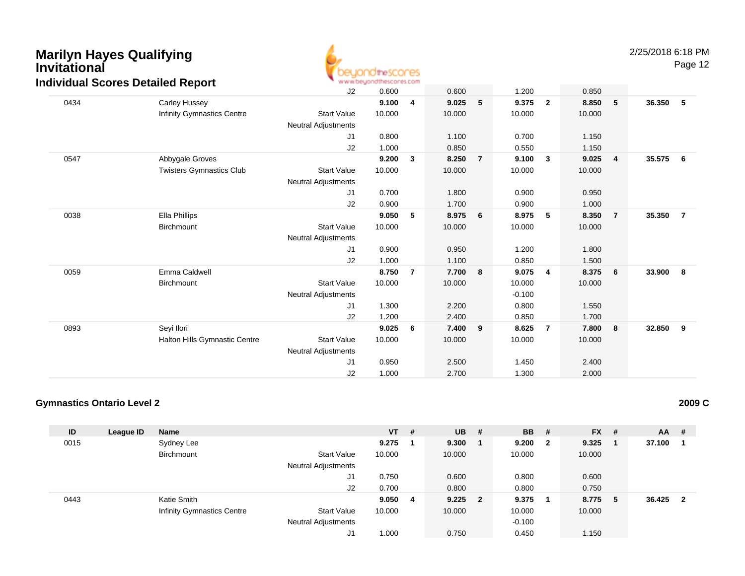

Page 12

|      | $18881$ $000100$ $001001$ $10001$ | J2                         | 0.600  |                | 0.600  |                | 1.200    |                | 0.850  |                |        |                         |
|------|-----------------------------------|----------------------------|--------|----------------|--------|----------------|----------|----------------|--------|----------------|--------|-------------------------|
| 0434 | Carley Hussey                     |                            | 9.100  | 4              | 9.025  | 5              | 9.375    | $\mathbf{2}$   | 8.850  | 5              | 36.350 | - 5                     |
|      | Infinity Gymnastics Centre        | <b>Start Value</b>         | 10.000 |                | 10.000 |                | 10.000   |                | 10.000 |                |        |                         |
|      |                                   | <b>Neutral Adjustments</b> |        |                |        |                |          |                |        |                |        |                         |
|      |                                   | J1                         | 0.800  |                | 1.100  |                | 0.700    |                | 1.150  |                |        |                         |
|      |                                   | J2                         | 1.000  |                | 0.850  |                | 0.550    |                | 1.150  |                |        |                         |
| 0547 | Abbygale Groves                   |                            | 9.200  | 3              | 8.250  | $\overline{7}$ | 9.100    | $\mathbf{3}$   | 9.025  | $\overline{4}$ | 35.575 | 6                       |
|      | <b>Twisters Gymnastics Club</b>   | <b>Start Value</b>         | 10.000 |                | 10.000 |                | 10.000   |                | 10.000 |                |        |                         |
|      |                                   | Neutral Adjustments        |        |                |        |                |          |                |        |                |        |                         |
|      |                                   | J1                         | 0.700  |                | 1.800  |                | 0.900    |                | 0.950  |                |        |                         |
|      |                                   | J2                         | 0.900  |                | 1.700  |                | 0.900    |                | 1.000  |                |        |                         |
| 0038 | Ella Phillips                     |                            | 9.050  | 5              | 8.975  | 6              | 8.975    | 5              | 8.350  | $\overline{7}$ | 35.350 | $\overline{7}$          |
|      | Birchmount                        | <b>Start Value</b>         | 10.000 |                | 10.000 |                | 10.000   |                | 10.000 |                |        |                         |
|      |                                   | Neutral Adjustments        |        |                |        |                |          |                |        |                |        |                         |
|      |                                   | J1                         | 0.900  |                | 0.950  |                | 1.200    |                | 1.800  |                |        |                         |
|      |                                   | J2                         | 1.000  |                | 1.100  |                | 0.850    |                | 1.500  |                |        |                         |
| 0059 | Emma Caldwell                     |                            | 8.750  | $\overline{7}$ | 7.700  | 8              | 9.075    | 4              | 8.375  | 6              | 33.900 | $\overline{\mathbf{8}}$ |
|      | Birchmount                        | <b>Start Value</b>         | 10.000 |                | 10.000 |                | 10.000   |                | 10.000 |                |        |                         |
|      |                                   | Neutral Adjustments        |        |                |        |                | $-0.100$ |                |        |                |        |                         |
|      |                                   | J1                         | 1.300  |                | 2.200  |                | 0.800    |                | 1.550  |                |        |                         |
|      |                                   | J2                         | 1.200  |                | 2.400  |                | 0.850    |                | 1.700  |                |        |                         |
| 0893 | Seyi Ilori                        |                            | 9.025  | 6              | 7.400  | 9              | 8.625    | $\overline{7}$ | 7.800  | 8              | 32.850 | 9                       |
|      | Halton Hills Gymnastic Centre     | <b>Start Value</b>         | 10.000 |                | 10.000 |                | 10.000   |                | 10.000 |                |        |                         |
|      |                                   | Neutral Adjustments        |        |                |        |                |          |                |        |                |        |                         |
|      |                                   | J <sub>1</sub>             | 0.950  |                | 2.500  |                | 1.450    |                | 2.400  |                |        |                         |
|      |                                   | J2                         | 1.000  |                | 2.700  |                | 1.300    |                | 2.000  |                |        |                         |

#### **Gymnastics Ontario Level 2**

| ID   | League ID | <b>Name</b>                       |                            | $VT$ # |    | $UB$ #    | <b>BB</b> | #                       | <b>FX</b> | #  | <b>AA</b> | -# |
|------|-----------|-----------------------------------|----------------------------|--------|----|-----------|-----------|-------------------------|-----------|----|-----------|----|
| 0015 |           | Sydney Lee                        |                            | 9.275  |    | 9.300     | 9.200     | $\overline{\mathbf{2}}$ | 9.325     |    | 37.100    |    |
|      |           | Birchmount                        | <b>Start Value</b>         | 10.000 |    | 10.000    | 10.000    |                         | 10.000    |    |           |    |
|      |           |                                   | <b>Neutral Adjustments</b> |        |    |           |           |                         |           |    |           |    |
|      |           |                                   | J1                         | 0.750  |    | 0.600     | 0.800     |                         | 0.600     |    |           |    |
|      |           |                                   | J2                         | 0.700  |    | 0.800     | 0.800     |                         | 0.750     |    |           |    |
| 0443 |           | Katie Smith                       |                            | 9.050  | -4 | $9.225$ 2 | 9.375     |                         | 8.775     | -5 | 36.425    | -2 |
|      |           | <b>Infinity Gymnastics Centre</b> | <b>Start Value</b>         | 10.000 |    | 10.000    | 10.000    |                         | 10.000    |    |           |    |
|      |           |                                   | <b>Neutral Adjustments</b> |        |    |           | $-0.100$  |                         |           |    |           |    |
|      |           |                                   | J1                         | 1.000  |    | 0.750     | 0.450     |                         | 1.150     |    |           |    |

**2009 C**